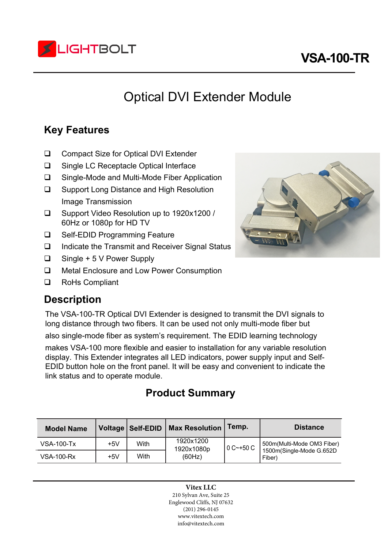

# **VSA-100-TR**

# Optical DVI Extender Module

## **Key Features**

- □ Compact Size for Optical DVI Extender
- □ Single LC Receptacle Optical Interface
- □ Single-Mode and Multi-Mode Fiber Application
- □ Support Long Distance and High Resolution Image Transmission
- Support Video Resolution up to 1920x1200 / 60Hz or 1080p for HD TV
- □ Self-EDID Programming Feature
- $\Box$  Indicate the Transmit and Receiver Signal Status
- Single + 5 V Power Supply
- □ Metal Enclosure and Low Power Consumption
- □ RoHs Compliant

### **Description**

The VSA-100-TR Optical DVI Extender is designed to transmit the DVI signals to long distance through two fibers. It can be used not only multi-mode fiber but

also single-mode fiber as system's requirement. The EDID learning technology

makes VSA-100 more flexible and easier to installation for any variable resolution display. This Extender integrates all LED indicators, power supply input and Self-EDID button hole on the front panel. It will be easy and convenient to indicate the link status and to operate module.

### **Product Summary**

| <b>Model Name</b> |       | Voltage   Self-EDID | <b>Max Resolution</b>             | Temp.       | <b>Distance</b>            |
|-------------------|-------|---------------------|-----------------------------------|-------------|----------------------------|
| <b>VSA-100-Tx</b> | $+5V$ | With                | 1920x1200<br>1920x1080p<br>(60Hz) | l 0 C~+50 C | 500m(Multi-Mode OM3 Fiber) |
| VSA-100-Rx        | $+5V$ | With                |                                   |             |                            |

**Vitex LLC** 210 Sylvan Ave, Suite 25 Englewood Cliffs, NJ 07632 (201) 296-0145 www.vitextech.com info@vitextech.com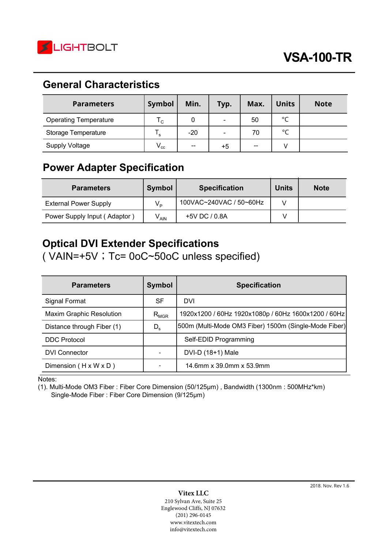

## **General Characteristics**

| <b>Parameters</b>            | Symbol       | Min.  | Typ.           | Max. | <b>Units</b> | <b>Note</b> |
|------------------------------|--------------|-------|----------------|------|--------------|-------------|
| <b>Operating Temperature</b> | $T_{\rm C}$  | 0     | $\blacksquare$ | 50   | $^{\circ}$ C |             |
| Storage Temperature          | ٠s           | $-20$ | $\blacksquare$ | 70   | $^{\circ}$ C |             |
| <b>Supply Voltage</b>        | $V_{\rm cc}$ | $-$   | $+5$           | --   | v            |             |

## **Power Adapter Specification**

| <b>Parameters</b>            | <b>Symbol</b> | <b>Specification</b>    | <b>Units</b> | <b>Note</b> |
|------------------------------|---------------|-------------------------|--------------|-------------|
| <b>External Power Supply</b> | $V_{\rm p}$   | 100VAC~240VAC / 50~60Hz |              |             |
| Power Supply Input (Adaptor) | $V_{AIN}$     | +5V DC / 0.8A           |              |             |

## **Optical DVI Extender Specifications**

( VAIN=+5V ; Tc= 0oC~50oC unless specified)

| <b>Parameters</b>                 | <b>Symbol</b> | <b>Specification</b>                                  |
|-----------------------------------|---------------|-------------------------------------------------------|
| Signal Format                     | <b>SF</b>     | DVI                                                   |
| <b>Maxim Graphic Resolution</b>   | $R_{MGR}$     | 1920x1200 / 60Hz 1920x1080p / 60Hz 1600x1200 / 60Hz   |
| Distance through Fiber (1)        | $D_{s}$       | 500m (Multi-Mode OM3 Fiber) 1500m (Single-Mode Fiber) |
| <b>DDC Protocol</b>               |               | Self-EDID Programming                                 |
| <b>DVI Connector</b>              |               | DVI-D $(18+1)$ Male                                   |
| Dimension $(H \times W \times D)$ |               | 14.6mm x 39.0mm x 53.9mm                              |

Notes:

(1). Multi-Mode OM3 Fiber : Fiber Core Dimension (50/125μm) , Bandwidth (1300nm : 500MHz\*km) Single-Mode Fiber : Fiber Core Dimension (9/125μm)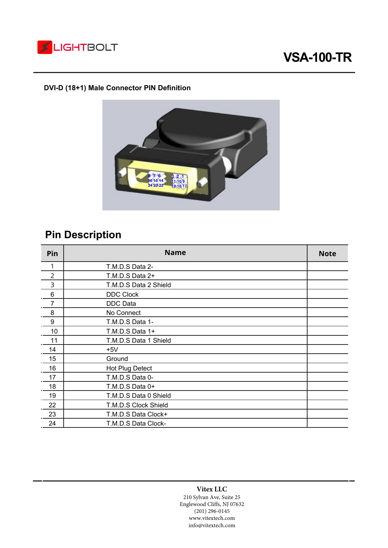

# **VSA-100-TR**

#### **DVI-D (18+1) Male Connector PIN Definition**



# **Pin Description**

| Pin            | <b>Name</b>           | <b>Note</b> |
|----------------|-----------------------|-------------|
| 1              | T.M.D.S Data 2-       |             |
| $\overline{2}$ | T.M.D.S Data 2+       |             |
| 3              | T.M.D.S Data 2 Shield |             |
| $\,6$          | <b>DDC Clock</b>      |             |
| 7              | <b>DDC</b> Data       |             |
| 8              | No Connect            |             |
| 9              | T.M.D.S Data 1-       |             |
| 10             | T.M.D.S Data 1+       |             |
| 11             | T.M.D.S Data 1 Shield |             |
| 14             | $+5V$                 |             |
| 15             | Ground                |             |
| 16             | Hot Plug Detect       |             |
| 17             | T.M.D.S Data 0-       |             |
| 18             | T.M.D.S Data 0+       |             |
| 19             | T.M.D.S Data 0 Shield |             |
| 22             | T.M.D.S Clock Shield  |             |
| 23             | T.M.D.S Data Clock+   |             |
| 24             | T.M.D.S Data Clock-   |             |

#### **Vitex LLC**

210 Sylvan Ave, Suite 25 Englewood Cliffs, NJ 07632 (201) 296-0145 www.vitextech.com info@vitextech.com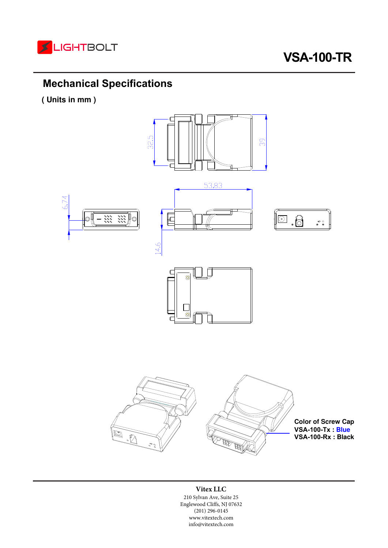

## **Mechanical Specifications**

**( Units in mm )** 



#### **Vitex LLC**

210 Sylvan Ave, Suite 25 Englewood Cliffs, NJ 07632 (201) 296-0145 www.vitextech.com info@vitextech.com